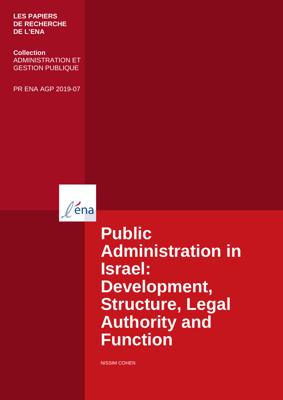**LES PAPIERS DE RECHERCHE DE L'ENA** 

 ADMINISTRATION ET **Collection**  GESTION PUBLIQUE

PR ENA AGP 2019-07



**Public Administration in Israel: Development, Structure, Legal Authority and Function**

NISSIM COHEN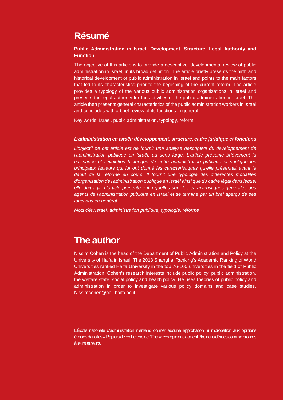## **Résumé**

#### **Public Administration in Israel: Development, Structure, Legal Authority and Function**

The objective of this article is to provide a descriptive, developmental review of public administration in Israel, in its broad definition. The article briefly presents the birth and historical development of public administration in Israel and points to the main factors that led to its characteristics prior to the beginning of the current reform. The article provides a typology of the various public administration organizations in Israel and presents the legal authority for the activities of the public administration in Israel. The article then presents general characteristics of the public administration workers in Israel and concludes with a brief review of its functions in general.

Key words: Israel, public administration, typology, reform

#### **L'administration en Israël: développement, structure, cadre juridique et fonctions**

L'objectif de cet article est de fournir une analyse descriptive du développement de l'administration publique en Israël, au sens large. L'article présente brièvement la naissance et l'évolution historique de cette administration publique et souligne les principaux facteurs qui lui ont donné les caractéristiques qu'elle présentait avant le début de la réforme en cours. Il fournit une typologie des différentes modalités d'organisation de l'administration publique en Israël ainsi que du cadre légal dans lequel elle doit agir. L'article présente enfin quelles sont les caractéristiques générales des agents de l'administration publique en Israël et se termine par un bref aperçu de ses fonctions en général.

Mots clés : Israël, administration publique, typologie, réforme

## **The author**

Nissim Cohen is the head of the Department of Public Administration and Policy at the University of Haifa in Israel. The 2018 Shanghai Ranking's Academic Ranking of World Universities ranked Haifa University in the top 76-100 universities in the field of Public Administration. Cohen's research interests include public policy, public administration, the welfare state, social policy and health policy. He uses theories of public policy and administration in order to investigate various policy domains and case studies. Nissimcohen@poli.haifa.ac.il

L'École nationale d'administration n'entend donner aucune approbation ni improbation aux opinions émises dans les « Papiers de recherche de l'Ena »: ces opinions doivent être considérées comme propres à leurs auteurs.

 $\overline{\phantom{a}}$  , where  $\overline{\phantom{a}}$  , where  $\overline{\phantom{a}}$  , where  $\overline{\phantom{a}}$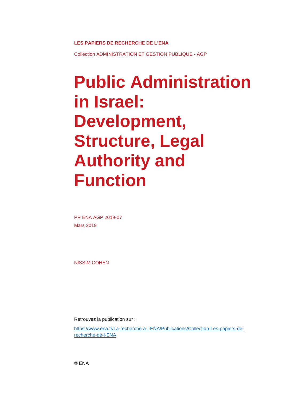**LES PAPIERS DE RECHERCHE DE L'ENA** 

Collection ADMINISTRATION ET GESTION PUBLIQUE - AGP

# **Public Administration in Israel: Development, Structure, Legal Authority and Function**

PR ENA AGP 2019-07 Mars 2019

NISSIM COHEN

Retrouvez la publication sur :

https://www.ena.fr/La-recherche-a-l-ENA/Publications/Collection-Les-papiers-derecherche-de-l-ENA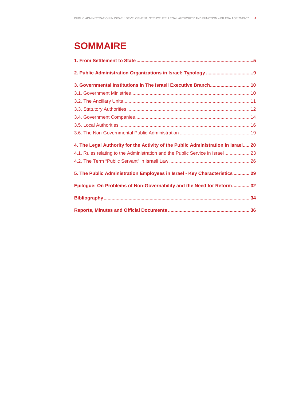# **SOMMAIRE**

| 3. Governmental Institutions in The Israeli Executive Branch 10                   |  |
|-----------------------------------------------------------------------------------|--|
|                                                                                   |  |
|                                                                                   |  |
|                                                                                   |  |
|                                                                                   |  |
|                                                                                   |  |
|                                                                                   |  |
| 4. The Legal Authority for the Activity of the Public Administration in Israel 20 |  |
| 4.1. Rules relating to the Administration and the Public Service in Israel 23     |  |
|                                                                                   |  |
| 5. The Public Administration Employees in Israel - Key Characteristics  29        |  |
| Epilogue: On Problems of Non-Governability and the Need for Reform 32             |  |
|                                                                                   |  |
|                                                                                   |  |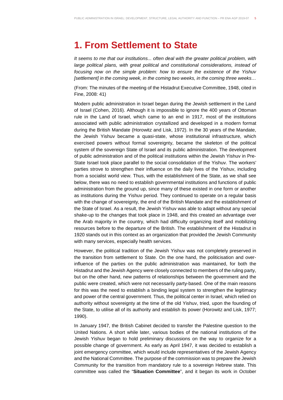## **1. From Settlement to State**

It seems to me that our institutions... often deal with the greater political problem, with large political plans, with great political and constitutional considerations, instead of focusing now on the simple problem: how to ensure the existence of the Yishuv [settlement] in the coming week, in the coming two weeks, in the coming three weeks...

(From: The minutes of the meeting of the Histadrut Executive Committee, 1948, cited in Fine, 2008: 41)

Modern public administration in Israel began during the Jewish settlement in the Land of Israel (Cohen, 2016). Although it is impossible to ignore the 400 years of Ottoman rule in the Land of Israel, which came to an end in 1917, most of the institutions associated with public administration crystallized and developed in a modern format during the British Mandate (Horowitz and Lisk, 1972). In the 30 years of the Mandate, the Jewish Yishuv became a quasi-state, whose institutional infrastructure, which exercised powers without formal sovereignty, became the skeleton of the political system of the sovereign State of Israel and its public administration. The development of public administration and of the political institutions within the Jewish Yishuv in Pre-State Israel took place parallel to the social consolidation of the Yishuv. The workers' parties strove to strengthen their influence on the daily lives of the Yishuv, including from a socialist world view. Thus, with the establishment of the State, as we shall see below, there was no need to establish governmental institutions and functions of public administration from the ground up, since many of these existed in one form or another as institutions during the Yishuv period. They continued to operate on a regular basis with the change of sovereignty, the end of the British Mandate and the establishment of the State of Israel. As a result, the Jewish Yishuv was able to adapt without any special shake-up to the changes that took place in 1948, and this created an advantage over the Arab majority in the country, which had difficulty organizing itself and mobilizing resources before to the departure of the British. The establishment of the Histadrut in 1920 stands out in this context as an organization that provided the Jewish Community with many services, especially health services.

However, the political tradition of the Jewish Yishuv was not completely preserved in the transition from settlement to State. On the one hand, the politicisation and overinfluence of the parties on the public administration was maintained, for both the Histadrut and the Jewish Agency were closely connected to members of the ruling party, but on the other hand, new patterns of relationships between the government and the public were created, which were not necessarily party-based. One of the main reasons for this was the need to establish a binding legal system to strengthen the legitimacy and power of the central government. Thus, the political center in Israel, which relied on authority without sovereignty at the time of the old Yishuv, tried, upon the founding of the State, to utilise all of its authority and establish its power (Horowitz and Lisk, 1977; 1990).

In January 1947, the British Cabinet decided to transfer the Palestine question to the United Nations. A short while later, various bodies of the national institutions of the Jewish Yishuv began to hold preliminary discussions on the way to organize for a possible change of government. As early as April 1947, it was decided to establish a joint emergency committee, which would include representatives of the Jewish Agency and the National Committee. The purpose of the commission was to prepare the Jewish Community for the transition from mandatory rule to a sovereign Hebrew state. This committee was called the "**Situation Committee**", and it began its work in October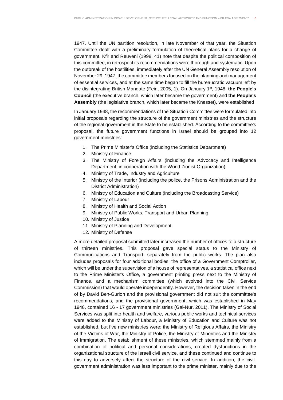1947. Until the UN partition resolution, in late November of that year, the Situation Committee dealt with a preliminary formulation of theoretical plans for a change of government. Kfir and Reuveni (1998, 41) note that despite the political composition of this committee, in retrospect its recommendations were thorough and systematic. Upon the outbreak of the hostilities, immediately after the UN General Assembly resolution of November 29, 1947, the committee members focused on the planning and management of essential services, and at the same time began to fill the bureaucratic vacuum left by the disintegrating British Mandate (Fein, 2005, 1). On January 1st, 1948, **the People's Council** (the executive branch, which later became the government) and **the People's Assembly** (the legislative branch, which later became the Knesset), were established

In January 1948, the recommendations of the Situation Committee were formulated into initial proposals regarding the structure of the government ministries and the structure of the regional government in the State to be established. According to the committee's proposal, the future government functions in Israel should be grouped into 12 government ministries:

- 1. The Prime Minister's Office (including the Statistics Department)
- 2. Ministry of Finance
- 3. The Ministry of Foreign Affairs (including the Advocacy and Intelligence Department, in cooperation with the World Zionist Organization)
- 4. Ministry of Trade, Industry and Agriculture
- 5. Ministry of the Interior (including the police, the Prisons Administration and the District Administration)
- 6. Ministry of Education and Culture (including the Broadcasting Service)
- 7. Ministry of Labour
- 8. Ministry of Health and Social Action
- 9. Ministry of Public Works, Transport and Urban Planning
- 10. Ministry of Justice
- 11. Ministry of Planning and Development
- 12. Ministry of Defense

A more detailed proposal submitted later increased the number of offices to a structure of thirteen ministries. This proposal gave special status to the Ministry of Communications and Transport, separately from the public works. The plan also includes proposals for four additional bodies: the office of a Government Comptroller, which will be under the supervision of a house of representatives, a statistical office next to the Prime Minister's Office, a government printing press next to the Ministry of Finance, and a mechanism committee (which evolved into the Civil Service Commission) that would operate independently. However, the decision taken in the end of by David Ben-Gurion and the provisional government did not suit the committee's recommendations, and the provisional government, which was established in May 1948, contained 16 - 17 government ministries (Gal-Nur, 2011). The Ministry of Social Services was split into health and welfare, various public works and technical services were added to the Ministry of Labour, a Ministry of Education and Culture was not established, but five new ministries were: the Ministry of Religious Affairs, the Ministry of the Victims of War, the Ministry of Police, the Ministry of Minorities and the Ministry of Immigration. The establishment of these ministries, which stemmed mainly from a combination of political and personal considerations, created dysfunctions in the organizational structure of the Israeli civil service, and these continued and continue to this day to adversely affect the structure of the civil service. In addition, the civilgovernment administration was less important to the prime minister, mainly due to the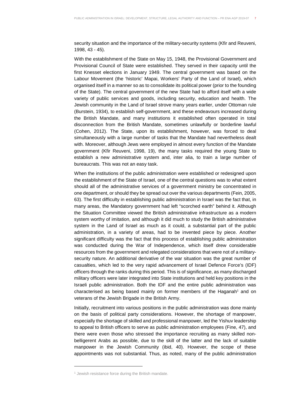security situation and the importance of the military-security systems (Kfir and Reuveni, 1998, 43 - 45).

With the establishment of the State on May 15, 1948, the Provisional Government and Provisional Council of State were established. They served in their capacity until the first Knesset elections in January 1949. The central government was based on the Labour Movement (the 'historic' Mapai, Workers' Party of the Land of Israel), which organised itself in a manner so as to consolidate its political power (prior to the founding of the State). The central government of the new State had to afford itself with a wide variety of public services and goods, including security, education and health. The Jewish community in the Land of Israel strove many years earlier, under Ottoman rule (Burstein, 1934), to establish self-government, and these endeavours increased during the British Mandate, and many institutions it established often operated in total disconnection from the British Mandate, sometimes unlawfully or borderline lawful (Cohen, 2012). The State, upon its establishment, however, was forced to deal simultaneously with a large number of tasks that the Mandate had nevertheless dealt with. Moreover, although Jews were employed in almost every function of the Mandate government (Kfir Reuveni, 1998, 19), the many tasks required the young State to establish a new administrative system and, inter alia, to train a large number of bureaucrats. This was not an easy task.

When the institutions of the public administration were established or redesigned upon the establishment of the State of Israel, one of the central questions was to what extent should all of the administrative services of a government ministry be concentrated in one department, or should they be spread out over the various departments (Fein, 2005, 63). The first difficulty in establishing public administration in Israel was the fact that, in many areas, the Mandatory government had left "scorched earth" behind it. Although the Situation Committee viewed the British administrative infrastructure as a modern system worthy of imitation, and although it did much to study the British administrative system in the Land of Israel as much as it could, a substantial part of the public administration, in a variety of areas, had to be invented piece by piece. Another significant difficulty was the fact that this process of establishing public administration was conducted during the War of Independence, which itself drew considerable resources from the government and relegated considerations that were not of a militarysecurity nature. An additional derivative of the war situation was the great number of casualties, which led to the very rapid advancement of Israel Defence Force's (IDF) officers through the ranks during this period. This is of significance, as many discharged military officers were later integrated into State institutions and held key positions in the Israeli public administration. Both the IDF and the entire public administration was characterised as being based mainly on former members of the Haganah<sup>1</sup> and on veterans of the Jewish Brigade in the British Army.

Initially, recruitment into various positions in the public administration was done mainly on the basis of political party considerations. However, the shortage of manpower, especially the shortage of skilled and professional manpower, led the Yishuv leadership to appeal to British officers to serve as public administration employees (Fine, 47), and there were even those who stressed the importance recruiting as many skilled nonbelligerent Arabs as possible, due to the skill of the latter and the lack of suitable manpower in the Jewish Community (ibid, 40). However, the scope of these appointments was not substantial. Thus, as noted, many of the public administration

l

<sup>&</sup>lt;sup>1</sup> Jewish resistance force during the British mandate.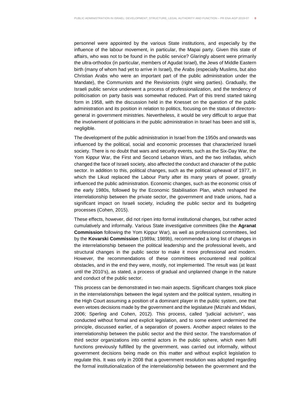personnel were appointed by the various State institutions, and especially by the influence of the labour movement, in particular, the Mapai party. Given this state of affairs, who was not to be found in the public service? Glaringly absent were primarily the ultra-orthodox (in particular, members of Agudat Israel), the Jews of Middle Eastern birth (many of whom had yet to arrive in Israel), the Arabs (especially Muslims, but also Christian Arabs who were an important part of the public administration under the Mandate), the Communists and the Revisionists (right wing parties). Gradually, the Israeli public service underwent a process of professionalization, and the tendency of politicisation on party basis was somewhat reduced. Part of this trend started taking form in 1958, with the discussion held in the Knesset on the question of the public administration and its position in relation to politics, focusing on the status of directorsgeneral in government ministries. Nevertheless, it would be very difficult to argue that the involvement of politicians in the public administration in Israel has been and still is, negligible.

The development of the public administration in Israel from the 1950s and onwards was influenced by the political, social and economic processes that characterized Israeli society. There is no doubt that wars and security events, such as the Six-Day War, the Yom Kippur War, the First and Second Lebanon Wars, and the two Intifadas, which changed the face of Israeli society, also affected the conduct and character of the public sector. In addition to this, political changes, such as the political upheaval of 1977, in which the Likud replaced the Labour Party after its many years of power, greatly influenced the public administration. Economic changes, such as the economic crisis of the early 1980s, followed by the Economic Stabilisation Plan, which reshaped the interrelationship between the private sector, the government and trade unions, had a significant impact on Israeli society, including the public sector and its budgeting processes (Cohen, 2015).

These effects, however, did not ripen into formal institutional changes, but rather acted cumulatively and informally. Various State investigative committees (like the **Agranat Commission** following the Yom Kippur War), as well as professional committees, led by the **Kovarski Commission** (1989a; 1989b), recommended a long list of changes in the interrelationship between the political leadership and the professional levels, and structural changes in the public sector to make it more professional and modern. However, the recommendations of these committees encountered real political obstacles, and in the end they were, mostly, not implemented. The result was (at least until the 2010's), as stated, a process of gradual and unplanned change in the nature and conduct of the public sector.

This process can be demonstrated in two main aspects. Significant changes took place in the interrelationships between the legal system and the political system, resulting in the High Court assuming a position of a dominant player in the public system, one that even vetoes decisions made by the government and the legislature (Mizrahi and Midani, 2006; Sperling and Cohen, 2012). This process, called "judicial activism", was conducted without formal and explicit legislation, and to some extent undermined the principle, discussed earlier, of a separation of powers. Another aspect relates to the interrelationship between the public sector and the third sector. The transformation of third sector organizations into central actors in the public sphere, which even fulfil functions previously fulfilled by the government, was carried out informally, without government decisions being made on this matter and without explicit legislation to regulate this. It was only in 2008 that a government resolution was adopted regarding the formal institutionalization of the interrelationship between the government and the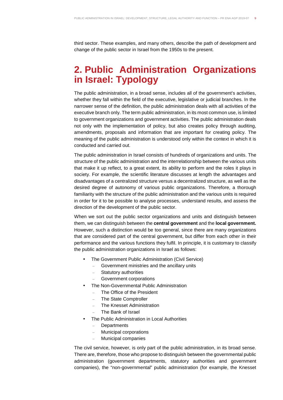third sector. These examples, and many others, describe the path of development and change of the public sector in Israel from the 1950s to the present.

## **2. Public Administration Organizations in Israel: Typology**

The public administration, in a broad sense, includes all of the government's activities, whether they fall within the field of the executive, legislative or judicial branches. In the narrower sense of the definition, the public administration deals with all activities of the executive branch only. The term public administration, in its most common use, is limited to government organizations and government activities. The public administration deals not only with the implementation of policy, but also creates policy through auditing, amendments, proposals and information that are important for creating policy. The meaning of the public administration is understood only within the context in which it is conducted and carried out.

The public administration in Israel consists of hundreds of organizations and units. The structure of the public administration and the interrelationship between the various units that make it up reflect, to a great extent, its ability to perform and the roles it plays in society. For example, the scientific literature discusses at length the advantages and disadvantages of a centralized structure versus a decentralized structure, as well as the desired degree of autonomy of various public organizations. Therefore, a thorough familiarity with the structure of the public administration and the various units is required in order for it to be possible to analyse processes, understand results, and assess the direction of the development of the public sector.

When we sort out the public sector organizations and units and distinguish between them, we can distinguish between the **central government** and the **local government.** However, such a distinction would be too general, since there are many organizations that are considered part of the central government, but differ from each other in their performance and the various functions they fulfil. In principle, it is customary to classify the public administration organizations in Israel as follows:

- The Government Public Administration (Civil Service)
	- Government ministries and the ancillary units
	- Statutory authorities
	- Government corporations
- The Non-Governmental Public Administration
	- The Office of the President
	- The State Comptroller
	- The Knesset Administration
	- The Bank of Israel
- The Public Administration in Local Authorities
	- Departments
	- Municipal corporations
	- Municipal companies

The civil service, however, is only part of the public administration, in its broad sense. There are, therefore, those who propose to distinguish between the governmental public administration (government departments, statutory authorities and government companies), the "non-governmental" public administration (for example, the Knesset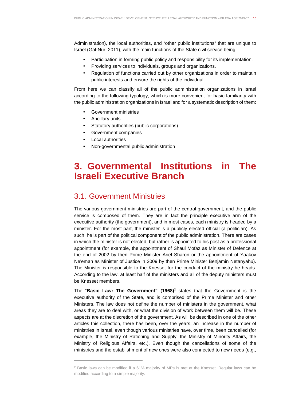Administration), the local authorities, and "other public institutions" that are unique to Israel (Gal-Nur, 2011), with the main functions of the State civil service being:

- Participation in forming public policy and responsibility for its implementation.
- Providing services to individuals, groups and organizations.
- Regulation of functions carried out by other organizations in order to maintain public interests and ensure the rights of the individual.

From here we can classify all of the public administration organizations in Israel according to the following typology, which is more convenient for basic familiarity with the public administration organizations in Israel and for a systematic description of them:

- Government ministries
- Ancillary units
- Statutory authorities (public corporations)
- Government companies
- Local authorities

l

• Non-governmental public administration

## **3. Governmental Institutions in The Israeli Executive Branch**

### 3.1. Government Ministries

The various government ministries are part of the central government, and the public service is composed of them. They are in fact the principle executive arm of the executive authority (the government), and in most cases, each ministry is headed by a minister. For the most part, the minister is a publicly elected official (a politician). As such, he is part of the political component of the public administration. There are cases in which the minister is not elected, but rather is appointed to his post as a professional appointment (for example, the appointment of Shaul Mofaz as Minister of Defence at the end of 2002 by then Prime Minister Ariel Sharon or the appointment of Yaakov Ne'eman as Minister of Justice in 2009 by then Prime Minister Benjamin Netanyahu). The Minister is responsible to the Knesset for the conduct of the ministry he heads. According to the law, at least half of the ministers and all of the deputy ministers must be Knesset members.

The "Basic Law: The Government" (1968)<sup>2</sup> states that the Government is the executive authority of the State, and is comprised of the Prime Minister and other Ministers. The law does not define the number of ministers in the government, what areas they are to deal with, or what the division of work between them will be. These aspects are at the discretion of the government. As will be described in one of the other articles this collection, there has been, over the years, an increase in the number of ministries in Israel, even though various ministries have, over time, been cancelled (for example, the Ministry of Rationing and Supply, the Ministry of Minority Affairs, the Ministry of Religious Affairs, etc.). Even though the cancellations of some of the ministries and the establishment of new ones were also connected to new needs (e.g.,

 $2$  Basic laws can be modified if a 61% majority of MPs is met at the Knesset. Regular laws can be modified according to a simple majority.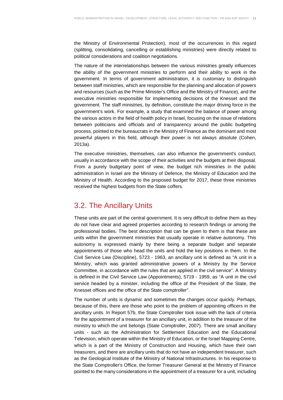the Ministry of Environmental Protection), most of the occurrences in this regard (splitting, consolidating, cancelling or establishing ministries) were directly related to political considerations and coalition negotiations.

The nature of the interrelationships between the various ministries greatly influences the ability of the government ministries to perform and their ability to work in the government. In terms of government administration, it is customary to distinguish between staff ministries, which are responsible for the planning and allocation of powers and resources (such as the Prime Minister's Office and the Ministry of Finance), and the executive ministries responsible for implementing decisions of the Knesset and the government. The staff ministries, by definition, constitute the major driving force in the government's work. For example, a study that examined the balance of power among the various actors in the field of health policy in Israel, focusing on the issue of relations between politicians and officials and of transparency around the public budgeting process, pointed to the bureaucrats in the Ministry of Finance as the dominant and most powerful players in this field, although their power is not always absolute (Cohen, 2013a).

The executive ministries, themselves, can also influence the government's conduct, usually in accordance with the scope of their activities and the budgets at their disposal. From a purely budgetary point of view, the budget rich ministries in the public administration in Israel are the Ministry of Defence, the Ministry of Education and the Ministry of Health. According to the proposed budget for 2017, these three ministries received the highest budgets from the State coffers.

#### 3.2. The Ancillary Units

These units are part of the central government. It is very difficult to define them as they do not have clear and agreed properties according to research findings or among the professional bodies. The best description that can be given to them is that these are units within the government ministries that usually operate in relative autonomy. This autonomy is expressed mainly by there being a separate budget and separate appointments of those who head the units and hold the key positions in them. In the Civil Service Law (Discipline), 5723 - 1963, an ancillary unit is defined as "A unit in a Ministry, which was granted administrative powers of a Ministry by the Service Committee, in accordance with the rules that are applied in the civil service". A Ministry is defined in the Civil Service Law (Appointments), 5719 - 1959, as "A unit in the civil service headed by a minister, including the office of the President of the State, the Knesset offices and the office of the State comptroller".

The number of units is dynamic and sometimes the changes occur quickly. Perhaps, because of this, there are those who point to the problem of appointing officers in the ancillary units. In Report 57b, the State Comptroller took issue with the lack of criteria for the appointment of a treasurer for an ancillary unit, in addition to the treasurer of the ministry to which the unit belongs (State Comptroller, 2007). There are small ancillary units - such as the Administration for Settlement Education and the Educational Television, which operate within the Ministry of Education, or the Israel Mapping Centre, which is a part of the Ministry of Construction and Housing, which have their own treasurers, and there are ancillary units that do not have an independent treasurer, such as the Geological Institute of the Ministry of National Infrastructures. In his response to the State Comptroller's Office, the former Treasurer General at the Ministry of Finance pointed to the many considerations in the appointment of a treasurer for a unit, including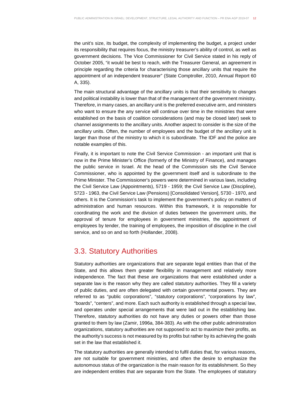the unit's size, its budget, the complexity of implementing the budget, a project under its responsibility that requires focus, the ministry treasurer's ability of control, as well as government decisions. The Vice Commissioner for Civil Service stated in his reply of October 2005, "it would be best to reach, with the Treasurer General, an agreement in principle regarding the criteria for characterising those ancillary units that require the appointment of an independent treasurer" (State Comptroller, 2010, Annual Report 60 A, 335).

The main structural advantage of the ancillary units is that their sensitivity to changes and political instability is lower than that of the management of the government ministry. Therefore, in many cases, an ancillary unit is the preferred executive arm, and ministers who want to ensure the any service will continue over time in the ministries that were established on the basis of coalition considerations (and may be closed later) seek to channel assignments to the ancillary units. Another aspect to consider is the size of the ancillary units. Often, the number of employees and the budget of the ancillary unit is larger than those of the ministry to which it is subordinate. The IDF and the police are notable examples of this.

Finally, it is important to note the Civil Service Commission - an important unit that is now in the Prime Minister's Office (formerly of the Ministry of Finance), and manages the public service in Israel. At the head of the Commission sits the Civil Service Commissioner, who is appointed by the government itself and is subordinate to the Prime Minister. The Commissioner's powers were determined in various laws, including the Civil Service Law (Appointments), 5719 - 1959; the Civil Service Law (Discipline), 5723 - 1963, the Civil Service Law (Pensions) [Consolidated Version], 5730 - 1970, and others. It is the Commission's task to implement the government's policy on matters of administration and human resources. Within this framework, it is responsible for coordinating the work and the division of duties between the government units, the approval of tenure for employees in government ministries, the appointment of employees by tender, the training of employees, the imposition of discipline in the civil service, and so on and so forth (Hollander, 2008).

#### 3.3. Statutory Authorities

Statutory authorities are organizations that are separate legal entities than that of the State, and this allows them greater flexibility in management and relatively more independence. The fact that these are organizations that were established under a separate law is the reason why they are called statutory authorities. They fill a variety of public duties, and are often delegated with certain governmental powers. They are referred to as "public corporations", "statutory corporations", "corporations by law", "boards", "centers", and more. Each such authority is established through a special law, and operates under special arrangements that were laid out in the establishing law. Therefore, statutory authorities do not have any duties or powers other than those granted to them by law (Zamir, 1996a, 384-383). As with the other public administration organizations, statutory authorities are not supposed to act to maximize their profits, as the authority's success is not measured by its profits but rather by its achieving the goals set in the law that established it.

The statutory authorities are generally intended to fulfil duties that, for various reasons, are not suitable for government ministries, and often the desire to emphasize the autonomous status of the organization is the main reason for its establishment. So they are independent entities that are separate from the State. The employees of statutory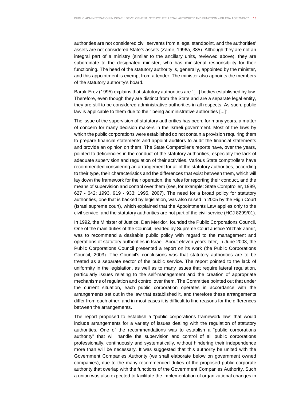authorities are not considered civil servants from a legal standpoint, and the authorities' assets are not considered State's assets (Zamir, 1996a, 385). Although they are not an integral part of a ministry (similar to the ancillary units, reviewed above), they are subordinate to the designated minister, who has ministerial responsibility for their functioning. The head of the statutory authority is, generally, appointed by the minister, and this appointment is exempt from a tender. The minister also appoints the members of the statutory authority's board.

Barak-Erez (1995) explains that statutory authorities are "[...] bodies established by law. Therefore, even though they are distinct from the State and are a separate legal entity, they are still to be considered administrative authorities in all respects. As such, public law is applicable to them due to their being administrative authorities [...]".

The issue of the supervision of statutory authorities has been, for many years, a matter of concern for many decision makers in the Israeli government. Most of the laws by which the public corporations were established do not contain a provision requiring them to prepare financial statements and appoint auditors to audit the financial statements and provide an opinion on them. The State Comptroller's reports have, over the years, pointed to deficiencies in the conduct of the statutory authorities, especially the lack of adequate supervision and regulation of their activities. Various State comptrollers have recommended considering an arrangement for all of the statutory authorities, according to their type, their characteristics and the differences that exist between them, which will lay down the framework for their operation, the rules for reporting their conduct, and the means of supervision and control over them (see, for example: State Comptroller, 1989, 627 - 642; 1993, 919 - 933; 1995, 2007). The need for a broad policy for statutory authorities, one that is backed by legislation, was also raised in 2005 by the High Court (Israel supreme court), which explained that the Appointments Law applies only to the civil service, and the statutory authorities are not part of the civil service (HCJ 8299/01).

In 1992, the Minister of Justice, Dan Meridor, founded the Public Corporations Council. One of the main duties of the Council, headed by Supreme Court Justice Yitzhak Zamir, was to recommend a desirable public policy with regard to the management and operations of statutory authorities in Israel. About eleven years later, in June 2003, the Public Corporations Council presented a report on its work (the Public Corporations Council, 2003). The Council's conclusions was that statutory authorities are to be treated as a separate sector of the public service. The report pointed to the lack of uniformity in the legislation, as well as to many issues that require lateral regulation, particularly issues relating to the self-management and the creation of appropriate mechanisms of regulation and control over them. The Committee pointed out that under the current situation, each public corporation operates in accordance with the arrangements set out in the law that established it, and therefore these arrangements differ from each other, and in most cases it is difficult to find reasons for the differences between the arrangements.

The report proposed to establish a "public corporations framework law" that would include arrangements for a variety of issues dealing with the regulation of statutory authorities. One of the recommendations was to establish a "public corporations authority" that will handle the supervision and control of all public corporations professionally, continuously and systematically, without hindering their independence more than will be necessary. It was suggested that this authority be united with the Government Companies Authority (we shall elaborate below on government owned companies), due to the many recommended duties of the proposed public corporate authority that overlap with the functions of the Government Companies Authority. Such a union was also expected to facilitate the implementation of organizational changes in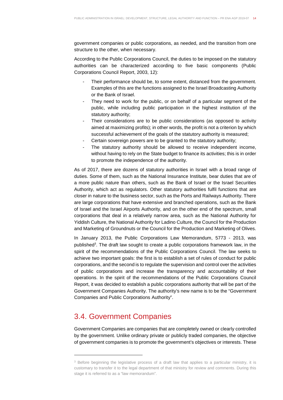government companies or public corporations, as needed, and the transition from one structure to the other, when necessary.

According to the Public Corporations Council, the duties to be imposed on the statutory authorities can be characterized according to five basic components (Public Corporations Council Report, 2003, 12):

- Their performance should be, to some extent, distanced from the government. Examples of this are the functions assigned to the Israel Broadcasting Authority or the Bank of Israel.
- They need to work for the public, or on behalf of a particular segment of the public, while including public participation in the highest institution of the statutory authority;
- Their considerations are to be public considerations (as opposed to activity aimed at maximizing profits); in other words, the profit is not a criterion by which successful achievement of the goals of the statutory authority is measured;
- Certain sovereign powers are to be granted to the statutory authority;
- The statutory authority should be allowed to receive independent income, without having to rely on the State budget to finance its activities; this is in order to promote the independence of the authority.

As of 2017, there are dozens of statutory authorities in Israel with a broad range of duties. Some of them, such as the National Insurance Institute, bear duties that are of a more public nature than others, such as the Bank of Israel or the Israel Securities Authority, which act as regulators. Other statutory authorities fulfil functions that are closer in nature to the business sector, such as the Ports and Railways Authority. There are large corporations that have extensive and branched operations, such as the Bank of Israel and the Israel Airports Authority, and on the other end of the spectrum, small corporations that deal in a relatively narrow area, such as the National Authority for Yiddish Culture, the National Authority for Ladino Culture, the Council for the Production and Marketing of Groundnuts or the Council for the Production and Marketing of Olives.

In January 2013, the Public Corporations Law Memorandum, 5773 - 2013, was published<sup>3</sup>. The draft law sought to create a public corporations framework law, in the spirit of the recommendations of the Public Corporations Council. The law seeks to achieve two important goals: the first is to establish a set of rules of conduct for public corporations, and the second is to regulate the supervision and control over the activities of public corporations and increase the transparency and accountability of their operations. In the spirit of the recommendations of the Public Corporations Council Report, it was decided to establish a public corporations authority that will be part of the Government Companies Authority. The authority's new name is to be the "Government Companies and Public Corporations Authority".

## 3.4. Government Companies

l

Government Companies are companies that are completely owned or clearly controlled by the government. Unlike ordinary private or publicly traded companies, the objective of government companies is to promote the government's objectives or interests. These

<sup>&</sup>lt;sup>3</sup> Before beginning the legislative process of a draft law that applies to a particular ministry, it is customary to transfer it to the legal department of that ministry for review and comments. During this stage it is referred to as a "law memorandum".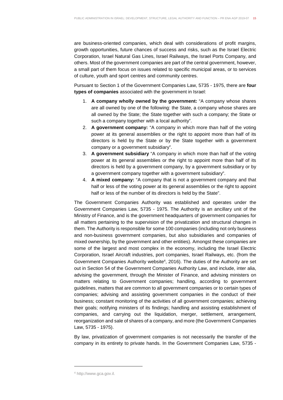are business-oriented companies, which deal with considerations of profit margins, growth opportunities, future chances of success and risks, such as the Israel Electric Corporation, Israel Natural Gas Lines, Israel Railways, the Israel Ports Company, and others. Most of the government companies are part of the central government, however, a small part of them focus on issues related to specific municipal areas, or to services of culture, youth and sport centres and community centres.

Pursuant to Section 1 of the Government Companies Law, 5735 - 1975, there are **four types of companies** associated with the government in Israel:

- 1. **A company wholly owned by the government:** "A company whose shares are all owned by one of the following: the State, a company whose shares are all owned by the State; the State together with such a company; the State or such a company together with a local authority".
- 2. **A government company:** "A company in which more than half of the voting power at its general assemblies or the right to appoint more than half of its directors is held by the State or by the State together with a government company or a government subsidiary".
- 3. **A government subsidiary** "A company in which more than half of the voting power at its general assemblies or the right to appoint more than half of its directors is held by a government company, by a government subsidiary or by a government company together with a government subsidiary".
- 4. **A mixed company:** "A company that is not a government company and that half or less of the voting power at its general assemblies or the right to appoint half or less of the number of its directors is held by the State".

The Government Companies Authority was established and operates under the Government Companies Law, 5735 - 1975. The Authority is an ancillary unit of the Ministry of Finance, and is the government headquarters of government companies for all matters pertaining to the supervision of the privatization and structural changes in them. The Authority is responsible for some 100 companies (including not only business and non-business government companies, but also subsidiaries and companies of mixed ownership, by the government and other entities). Amongst these companies are some of the largest and most complex in the economy, including the Israel Electric Corporation, Israel Aircraft industries, port companies, Israel Railways, etc. (from the Government Companies Authority website<sup>4</sup>, 2016). The duties of the Authority are set out in Section 54 of the Government Companies Authority Law, and include, inter alia, advising the government, through the Minister of Finance, and advising ministers on matters relating to Government companies; handling, according to government guidelines, matters that are common to all government companies or to certain types of companies; advising and assisting government companies in the conduct of their business; constant monitoring of the activities of all government companies; achieving their goals; notifying ministers of its findings; handling and assisting establishment of companies, and carrying out the liquidation, merger, settlement, arrangement, reorganization and sale of shares of a company, and more (the Government Companies Law, 5735 - 1975).

By law, privatization of government companies is not necessarily the transfer of the company in its entirety to private hands. In the Government Companies Law, 5735 -

l

<sup>4</sup> http://www.gca.gov.il.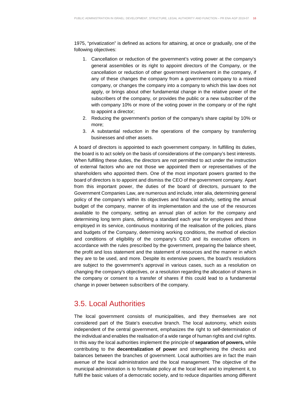1975, "privatization" is defined as actions for attaining, at once or gradually, one of the following objectives:

- 1. Cancellation or reduction of the government's voting power at the company's general assemblies or its right to appoint directors of the Company, or the cancellation or reduction of other government involvement in the company, if any of these changes the company from a government company to a mixed company, or changes the company into a company to which this law does not apply, or brings about other fundamental change in the relative power of the subscribers of the company, or provides the public or a new subscriber of the with company 10% or more of the voting power in the company or of the right to appoint a director;
- 2. Reducing the government's portion of the company's share capital by 10% or more;
- 3. A substantial reduction in the operations of the company by transferring businesses and other assets.

A board of directors is appointed to each government company. In fulfilling its duties, the board is to act solely on the basis of considerations of the company's best interests. When fulfilling these duties, the directors are not permitted to act under the instruction of external factors who are not those we appointed them or representatives of the shareholders who appointed them. One of the most important powers granted to the board of directors is to appoint and dismiss the CEO of the government company. Apart from this important power, the duties of the board of directors, pursuant to the Government Companies Law, are numerous and include, inter alia, determining general policy of the company's within its objectives and financial activity, setting the annual budget of the company, manner of its implementation and the use of the resources available to the company, setting an annual plan of action for the company and determining long term plans, defining a standard each year for employees and those employed in its service, continuous monitoring of the realisation of the policies, plans and budgets of the Company, determining working conditions, the method of election and conditions of eligibility of the company's CEO and its executive officers in accordance with the rules prescribed by the government, preparing the balance sheet, the profit and loss statement and the statement of resources and the manner in which they are to be used, and more. Despite its extensive powers, the board's resolutions are subject to the government's approval in various cases, such as a resolution on changing the company's objectives, or a resolution regarding the allocation of shares in the company or consent to a transfer of shares if this could lead to a fundamental change in power between subscribers of the company.

#### 3.5. Local Authorities

The local government consists of municipalities, and they themselves are not considered part of the State's executive branch. The local autonomy, which exists independent of the central government, emphasizes the right to self-determination of the individual and enables the realisation of a wide range of human rights and civil rights. In this way the local authorities implement the principle of **separation of powers,** while contributing to the **decentralization of power** and strengthening the checks and balances between the branches of government. Local authorities are in fact the main avenue of the local administration and the local management. The objective of the municipal administration is to formulate policy at the local level and to implement it, to fulfil the basic values of a democratic society, and to reduce disparities among different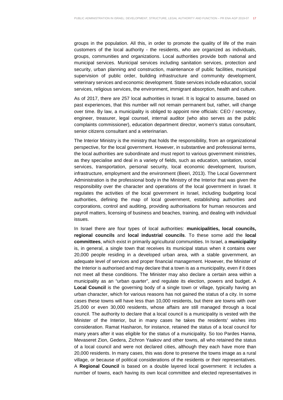groups in the population. All this, in order to promote the quality of life of the main customers of the local authority - the residents, who are organized as individuals, groups, communities and organizations. Local authorities provide both national and municipal services. Municipal services including sanitation services, protection and security, urban planning and construction, maintenance of public facilities, municipal supervision of public order, building infrastructure and community development, veterinary services and economic development. State services include education, social services, religious services, the environment, immigrant absorption, health and culture.

As of 2017, there are 257 local authorities in Israel. It is logical to assume, based on past experiences, that this number will not remain permanent but, rather, will change over time. By law, a municipality is obliged to appoint nine officials: CEO / secretary, engineer, treasurer, legal counsel, internal auditor (who also serves as the public complaints commissioner), education department director, women's status consultant, senior citizens consultant and a veterinarian.

The Interior Ministry is the ministry that holds the responsibility, from an organizational perspective, for the local government. However, in substantive and professional terms, the local authorities are subordinate and must report to various government ministries, as they specialise and deal in a variety of fields, such as education, sanitation, social services, transportation, personal security, local economic development, tourism, infrastructure, employment and the environment (Beeri, 2013). The Local Government Administration is the professional body in the Ministry of the Interior that was given the responsibility over the character and operations of the local government in Israel. It regulates the activities of the local government in Israel, including budgeting local authorities, defining the map of local government, establishing authorities and corporations, control and auditing, providing authorisations for human resources and payroll matters, licensing of business and beaches, training, and dealing with individual issues.

In Israel there are four types of local authorities: **municipalities, local councils, regional councils** and **local industrial councils**. To these some add the **local committees**, which exist in primarily agricultural communities. In Israel, a **municipality**  is, in general, a single town that receives its municipal status when it contains over 20,000 people residing in a developed urban area, with a stable government, an adequate level of services and proper financial management. However, the Minister of the Interior is authorised and may declare that a town is as a municipality, even if it does not meet all these conditions. The Minister may also declare a certain area within a municipality as an "urban quarter", and regulate its election, powers and budget. A **Local Council** is the governing body of a single town or village, typically having an urban character, which for various reasons has not gained the status of a city. In some cases these towns will have less than 10,000 residents, but there are towns with over 25,000 or even 30,000 residents, whose affairs are still managed through a local council. The authority to declare that a local council is a municipality is vested with the Minister of the Interior, but in many cases he takes the residents' wishes into consideration. Ramat Hasharon, for instance, retained the status of a local council for many years after it was eligible for the status of a municipality. So too Pardes Hanna, Mevaseret Zion, Gedera, Zichron Yaakov and other towns, all who retained the status of a local council and were not declared cities, although they each have more than 20,000 residents. In many cases, this was done to preserve the towns image as a rural village, or because of political considerations of the residents or their representatives. A **Regional Council** is based on a double layered local government: it includes a number of towns, each having its own local committee and elected representatives in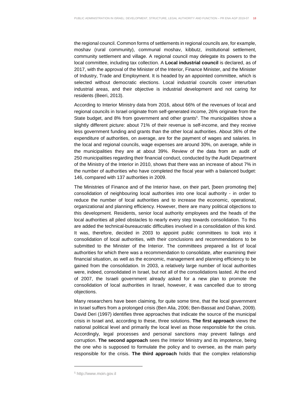the regional council. Common forms of settlements in regional councils are, for example, moshav (rural community), communal moshav, kibbutz, institutional settlement, community settlement and village. A regional council may delegate its powers to the local committee, including tax collection. A **Local industrial council** is declared, as of 2017, with the approval of the Minister of the Interior, Finance Minister, and the Minister of Industry, Trade and Employment. It is headed by an appointed committee, which is selected without democratic elections. Local industrial councils cover interurban industrial areas, and their objective is industrial development and not caring for residents (Beeri, 2013).

According to Interior Ministry data from 2016, about 66% of the revenues of local and regional councils in Israel originate from self-generated income, 26% originate from the State budget, and 8% from government and other grants<sup>5</sup>. The municipalities show a slightly different picture: about 71% of their revenue is self-income, and they receive less government funding and grants than the other local authorities. About 36% of the expenditure of authorities, on average, are for the payment of wages and salaries. In the local and regional councils, wage expenses are around 30%, on average, while in the municipalities they are at about 39%. Review of the data from an audit of 250 municipalities regarding their financial conduct, conducted by the Audit Department of the Ministry of the Interior in 2010, shows that there was an increase of about 7% in the number of authorities who have completed the fiscal year with a balanced budget: 146, compared with 137 authorities in 2009.

The Ministries of Finance and of the Interior have, on their part, [been promoting the] consolidation of neighbouring local authorities into one local authority - in order to reduce the number of local authorities and to increase the economic, operational, organizational and planning efficiency. However, there are many political objections to this development. Residents, senior local authority employees and the heads of the local authorities all piled obstacles to nearly every step towards consolidation. To this are added the technical-bureaucratic difficulties involved in a consolidation of this kind. It was, therefore, decided in 2003 to appoint public committees to look into it consolidation of local authorities, with their conclusions and recommendations to be submitted to the Minister of the Interior. The committees prepared a list of local authorities for which there was a recommendation to consolidate, after examining their financial situation, as well as the economic, management and planning efficiency to be gained from the consolidation. In 2003, a relatively large number of local authorities were, indeed, consolidated in Israel, but not all of the consolidations lasted. At the end of 2007, the Israeli government already asked for a new plan to promote the consolidation of local authorities in Israel, however, it was cancelled due to strong objections.

Many researchers have been claiming, for quite some time, that the local government in Israel suffers from a prolonged crisis (Ben Alia, 2006; Ben-Bassat and Dahan, 2009). David Deri (1997) identifies three approaches that indicate the source of the municipal crisis in Israel and, according to these, three solutions. **The first approach** views the national political level and primarily the local level as those responsible for the crisis. Accordingly, legal processes and personal sanctions may prevent failings and corruption. **The second approach** sees the Interior Ministry and its impotence, being the one who is supposed to formulate the policy and to oversee, as the main party responsible for the crisis. **The third approach** holds that the complex relationship

l

<sup>5</sup> http://www.moin.gov.il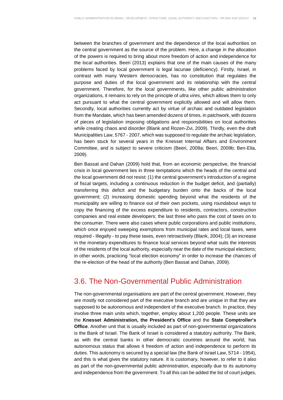between the branches of government and the dependence of the local authorities on the central government as the source of the problem. Here, a change in the allocation of the powers is required to bring about more freedom of action and independence for the local authorities. Beeri (2013) explains that one of the main causes of the many problems faced by local government is legal lacunae (deficiency). Firstly, Israel, in contrast with many Western democracies, has no constitution that regulates the purpose and duties of the local government and its relationship with the central government. Therefore, for the local governments, like other public administration organizations, it remains to rely on the principle of ultra vires, which allows them to only act pursuant to what the central government explicitly allowed and will allow them. Secondly, local authorities currently act by virtue of archaic and outdated legislation from the Mandate, which has been amended dozens of times, in patchwork, with dozens of pieces of legislation imposing obligations and responsibilities on local authorities while creating chaos and disorder (Blank and Rozen-Zvi, 2009). Thirdly, even the draft Municipalities Law, 5767 - 2007, which was supposed to regulate the archaic legislation, has been stuck for several years in the Knesset Internal Affairs and Environment Committee, and is subject to severe criticism (Beeri, 2009a; Beeri, 2009b; Ben-Elia, 2009).

Ben Bassat and Dahan (2009) hold that, from an economic perspective, the financial crisis in local government lies in three temptations which the heads of the central and the local government did not resist: (1) the central government's introduction of a regime of fiscal targets, including a continuous reduction in the budget deficit, and (partially) transferring this deficit and the budgetary burden onto the backs of the local government; (2) increasing domestic spending beyond what the residents of the municipality are willing to finance out of their own pockets, using roundabout ways to copy the financing of the excess expenditure to residents, contractors, construction companies and real estate developers; the last three who pass the cost of taxes on to the consumer. There were also cases where public corporations and public institutions, which once enjoyed sweeping exemptions from municipal rates and local taxes, were required - illegally - to pay these taxes, even retroactively (Blank, 2004); (3) an increase in the monetary expenditures to finance local services beyond what suits the interests of the residents of the local authority, especially near the date of the municipal elections; in other words, practicing "local election economy" in order to increase the chances of the re-election of the head of the authority (Ben Bassat and Dahan, 2009).

#### 3.6. The Non-Governmental Public Administration

The non-governmental organisations are part of the central government. However, they are mostly not considered part of the executive branch and are unique in that they are supposed to be autonomous and independent of the executive branch. In practice, they involve three main units which, together, employ about 1,200 people. These units are the **Knesset Administration, the President's Office** and the **State Comptroller's Office**. Another unit that is usually included as part of non-governmental organizations is the Bank of Israel. The Bank of Israel is considered a statutory authority. The Bank, as with the central banks in other democratic countries around the world, has autonomous status that allows it freedom of action and independence to perform its duties. This autonomy is secured by a special law (the Bank of Israel Law, 5714 - 1954), and this is what gives the statutory nature. It is customary, however, to refer to it also as part of the non-governmental public administration, especially due to its autonomy and independence from the government. To all this can be added the list of court judges,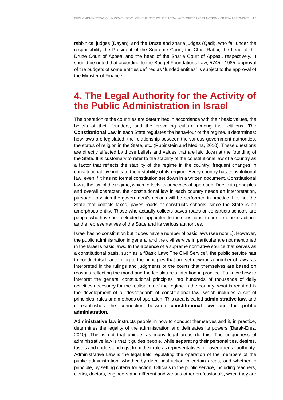rabbinical judges (Dayan), and the Druze and sharia judges (Qadi), who fall under the responsibility the President of the Supreme Court, the Chief Rabbi, the head of the Druze Court of Appeal and the head of the Sharia Court of Appeal, respectively. It should be noted that according to the Budget Foundations Law, 5745 - 1985, approval of the budgets of some entities defined as "funded entities" is subject to the approval of the Minister of Finance.

## **4. The Legal Authority for the Activity of the Public Administration in Israel**

The operation of the countries are determined in accordance with their basic values, the beliefs of their founders, and the prevailing culture among their citizens. The **Constitutional Law** in each State regulates the behaviour of the regime. It determines: how laws are legislated, the relationship between the various government authorities, the status of religion in the State, etc. (Rubinstein and Medina, 2010). These questions are directly affected by those beliefs and values that are laid down at the founding of the State. It is customary to refer to the stability of the constitutional law of a country as a factor that reflects the stability of the regime in the country: frequent changes in constitutional law indicate the instability of its regime. Every country has constitutional law, even if it has no formal constitution set down in a written document. Constitutional law is the law of the regime, which reflects its principles of operation. Due to its principles and overall character, the constitutional law in each country needs an interpretation, pursuant to which the government's actions will be performed in practice. It is not the State that collects taxes, paves roads or constructs schools, since the State is an amorphous entity. Those who actually collects paves roads or constructs schools are people who have been elected or appointed to their positions, to perform these actions as the representatives of the State and its various authorities.

Israel has no constitution but it does have a number of basic laws (see note 1). However, the public administration in general and the civil service in particular are not mentioned in the Israel's basic laws. In the absence of a supreme normative source that serves as a constitutional basis, such as a "Basic Law: The Civil Service", the public service has to conduct itself according to the principles that are set down in a number of laws, as interpreted in the rulings and judgments of the courts that themselves are based on reasons reflecting the mood and the legislature's intention in practice. To know how to interpret the general constitutional principles into hundreds of thousands of daily activities necessary for the realisation of the regime in the country, what is required is the development of a "descendant" of constitutional law, which includes a set of principles, rules and methods of operation. This area is called **administrative law**, and it establishes the connection between **constitutional law** and the **public administration.**

**Administrative law** instructs people in how to conduct themselves and it, in practice, determines the legality of the administration and delineates its powers (Barak-Erez, 2010). This is not that unique, as many legal areas do this. The uniqueness of administrative law is that it guides people, while separating their personalities, desires, tastes and understandings, from their role as representatives of governmental authority. Administrative Law is the legal field regulating the operation of the members of the public administration, whether by direct instruction in certain areas, and whether in principle, by setting criteria for action. Officials in the public service, including teachers, clerks, doctors, engineers and different and various other professionals, when they are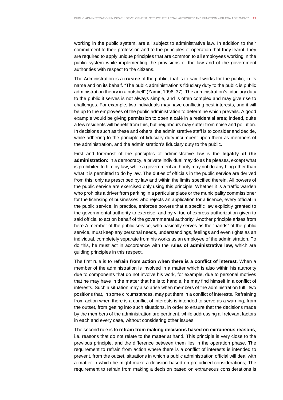working in the public system, are all subject to administrative law. In addition to their commitment to their profession and to the principles of operation that they learnt, they are required to apply unique principles that are common to all employees working in the public system while implementing the provisions of the law and of the government authorities with respect to the citizens.

The Administration is a **trustee** of the public; that is to say it works for the public, in its name and on its behalf. "The public administration's fiduciary duty to the public is public administration theory in a nutshell" (Zamir, 1996: 37). The administration's fiduciary duty to the public it serves is not always simple, and is often complex and may give rise to challenges. For example, two individuals may have conflicting best interests, and it will be up to the employees of the public administration to determine which prevails. A good example would be giving permission to open a café in a residential area; indeed, quite a few residents will benefit from this, but neighbours may suffer from noise and pollution. In decisions such as these and others, the administrative staff is to consider and decide, while adhering to the principle of fiduciary duty incumbent upon them as members of the administration, and the administration's fiduciary duty to the public.

First and foremost of the principles of administrative law is the **legality of the administration:** in a democracy, a private individual may do as he pleases, except what is prohibited to him by law, while a government authority may not do anything other than what it is permitted to do by law. The duties of officials in the public service are derived from this: only as prescribed by law and within the limits specified therein. All powers of the public service are exercised only using this principle. Whether it is a traffic warden who prohibits a driver from parking in a particular place or the municipality commissioner for the licensing of businesses who rejects an application for a licence, every official in the public service, in practice, enforces powers that a specific law explicitly granted to the governmental authority to exercise, and by virtue of express authorization given to said official to act on behalf of the governmental authority. Another principle arises from here.A member of the public service, who basically serves as the "hands" of the public service, must keep any personal needs, understandings, feelings and even rights as an individual, completely separate from his works as an employee of the administration. To do this, he must act in accordance with the **rules of administrative law,** which are guiding principles in this respect.

The first rule is to **refrain from action when there is a conflict of interest.** When a member of the administration is involved in a matter which is also within his authority due to components that do not involve his work, for example, due to personal motives that he may have in the matter that he is to handle, he may find himself in a conflict of interests. Such a situation may also arise when members of the administration fulfil two positions that, in some circumstances, may put them in a conflict of interests. Refraining from action when there is a conflict of interests is intended to serve as a warning, from the outset, from getting into such situations, in order to ensure that the decisions made by the members of the administration are pertinent, while addressing all relevant factors in each and every case, without considering other issues.

The second rule is to **refrain from making decisions based on extraneous reasons**, i.e. reasons that do not relate to the matter at hand. This principle is very close to the previous principle, and the difference between them lies in the operation phase. The requirement to refrain from action where there is a conflict of interests is intended to prevent, from the outset, situations in which a public administration official will deal with a matter in which he might make a decision based on prejudiced considerations; The requirement to refrain from making a decision based on extraneous considerations is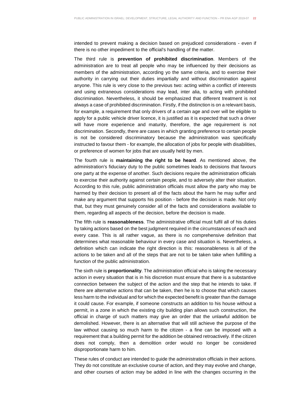intended to prevent making a decision based on prejudiced considerations - even if there is no other impediment to the official's handling of the matter.

The third rule is **prevention of prohibited discrimination**. Members of the administration are to treat all people who may be influenced by their decisions as members of the administration, according yo the same criteria, and to exercise their authority in carrying out their duties impartially and without discrimination against anyone. This rule is very close to the previous two: acting within a conflict of interests and using extraneous considerations may lead, inter alia, to acting with prohibited discrimination. Nevertheless, it should be emphasized that different treatment is not always a case of prohibited discrimination. Firstly, if the distinction is on a relevant basis, for example, a requirement that only drivers of a certain age and over will be eligible to apply for a public vehicle driver licence, it is justified as it is expected that such a driver will have more experience and maturity, therefore, the age requirement is not discrimination. Secondly, there are cases in which granting preference to certain people is not be considered discriminatory because the administration was specifically instructed to favour them - for example, the allocation of jobs for people with disabilities, or preference of women for jobs that are usually held by men.

The fourth rule is **maintaining the right to be heard**. As mentioned above, the administration's fiduciary duty to the public sometimes leads to decisions that favours one party at the expense of another. Such decisions require the administration officials to exercise their authority against certain people, and to adversely alter their situation. According to this rule, public administration officials must allow the party who may be harmed by their decision to present all of the facts about the harm he may suffer and make any argument that supports his position - before the decision is made. Not only that, but they must genuinely consider all of the facts and considerations available to them, regarding all aspects of the decision, before the decision is made.

The fifth rule is **reasonableness**. The administrative official must fulfil all of his duties by taking actions based on the best judgment required in the circumstances of each and every case. This is all rather vague, as there is no comprehensive definition that determines what reasonable behaviour in every case and situation is. Nevertheless, a definition which can indicate the right direction is this: reasonableness is all of the actions to be taken and all of the steps that are not to be taken take when fulfilling a function of the public administration.

The sixth rule is **proportionality**. The administration official who is taking the necessary action in every situation that is in his discretion must ensure that there is a substantive connection between the subject of the action and the step that he intends to take. If there are alternative actions that can be taken, then he is to choose that which causes less harm to the individual and for which the expected benefit is greater than the damage it could cause. For example, if someone constructs an addition to his house without a permit, in a zone in which the existing city building plan allows such construction, the official in charge of such matters may give an order that the unlawful addition be demolished. However, there is an alternative that will still achieve the purpose of the law without causing so much harm to the citizen - a fine can be imposed with a requirement that a building permit for the addition be obtained retroactively. If the citizen does not comply, then a demolition order would no longer be considered disproportionate harm to him.

These rules of conduct are intended to guide the administration officials in their actions. They do not constitute an exclusive course of action, and they may evolve and change, and other courses of action may be added in line with the changes occurring in the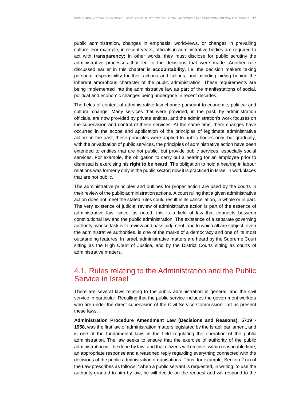public administration, changes in emphasis, worldviews, or changes in prevailing culture. For example, in recent years, officials in administrative bodies are required to act with **transparency;** In other words, they must disclose for public scrutiny the administrative processes that led to the decisions that were made. Another rule discussed earlier in this chapter is **accountability**, i.e. the decision makers taking personal responsibility for their actions and failings, and avoiding hiding behind the inherent amorphous character of the public administration. These requirements are being implemented into the administrative law as part of the manifestations of social, political and economic changes being undergone in recent decades.

The fields of content of administrative law change pursuant to economic, political and cultural change. Many services that were provided, in the past, by administration officials, are now provided by private entities, and the administration's work focuses on the supervision and control of these services. At the same time, there changes have occurred in the scope and application of the principles of legitimate administrative action: in the past, these principles were applied to public bodies only, but gradually, with the privatization of public services, the principles of administrative action have been extended to entities that are not public, but provide public services, especially social services. For example, the obligation to carry out a hearing for an employee prior to dismissal is exercising his **right to be heard**. The obligation to hold a hearing in labour relations was formerly only in the public sector; now it is practiced in Israel in workplaces that are not public.

The administrative principles and outlines for proper action are used by the courts in their review of the public administration actions. A court ruling that a given administrative action does not meet the stated rules could result in its cancellation, in whole or in part. The very existence of judicial review of administrative action is part of the essence of administrative law, since, as noted, this is a field of law that connects between constitutional law and the public administration. The existence of a separate governing authority, whose task is to review and pass judgment, and to which all are subject, even the administrative authorities, is one of the marks of a democracy and one of its most outstanding features. In Israel, administrative matters are heard by the Supreme Court sitting as the High Court of Justice, and by the District Courts sitting as courts of administrative matters.

#### 4.1. Rules relating to the Administration and the Public Service in Israel

There are several laws relating to the public administration in general, and the civil service in particular. Recalling that the public service includes the government workers who are under the direct supervision of the Civil Service Commission. Let us present these laws.

**Administration Procedure Amendment Law (Decisions and Reasons), 5719 - 1958,** was the first law of administration matters legislated by the Israeli parliament, and is one of the fundamental laws in the field regulating the operation of the public administration. The law seeks to ensure that the exercise of authority of the public administration will be done by law, and that citizens will receive, within reasonable time, an appropriate response and a reasoned reply regarding everything connected with the decisions of the public administration organisations. Thus, for example, Section 2 (a) of the Law prescribes as follows: "when a public servant is requested, in writing, to use the authority granted to him by law, he will decide on the request and will respond to the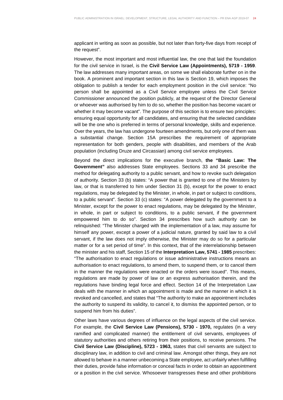applicant in writing as soon as possible, but not later than forty-five days from receipt of the request".

However, the most important and most influential law, the one that laid the foundation for the civil service in Israel, is the **Civil Service Law (Appointments), 5719 - 1959**. The law addresses many important areas, on some we shall elaborate further on in the book. A prominent and important section in this law is Section 19, which imposes the obligation to publish a tender for each employment position in the civil service: "No person shall be appointed as a Civil Service employee unless the Civil Service Commissioner announced the position publicly, at the request of the Director General or whoever was authorised by him to do so, whether the position has become vacant or whether it may become vacant". The purpose of this section is to ensure two principles: ensuring equal opportunity for all candidates, and ensuring that the selected candidate will be the one who is preferred in terms of personal knowledge, skills and experience. Over the years, the law has undergone fourteen amendments, but only one of them was a substantial change. Section 15A prescribes the requirement of appropriate representation for both genders, people with disabilities, and members of the Arab population (including Druze and Circassian) among civil service employees.

Beyond the direct implications for the executive branch, **the "Basic Law: The Government"** also addresses State employees. Sections 33 and 34 prescribe the method for delegating authority to a public servant, and how to revoke such delegation of authority. Section 33 (b) states: "A power that is granted to one of the Ministers by law, or that is transferred to him under Section 31 (b), except for the power to enact regulations, may be delegated by the Minister, in whole, in part or subject to conditions, to a public servant". Section 33 (c) states: "A power delegated by the government to a Minister, except for the power to enact regulations, may be delegated by the Minister, in whole, in part or subject to conditions, to a public servant, if the government empowered him to do so". Section 34 prescribes how such authority can be relinquished: "The Minister charged with the implementation of a law, may assume for himself any power, except a power of a judicial nature, granted by said law to a civil servant, if the law does not imply otherwise, the Minister may do so for a particular matter or for a set period of time". In this context, that of the interrelationship between the minister and his staff, Section 15 of the **Interpretation Law, 5741 - 1985** prescribes: "The authorisation to enact regulations or issue administrative instructions means an authorisation to enact regulations, to amend them, to suspend them, or to cancel them in the manner the regulations were enacted or the orders were issued". This means, regulations are made by power of law or an express authorisation therein, and the regulations have binding legal force and effect. Section 14 of the Interpretation Law deals with the manner in which an appointment is made and the manner in which it is revoked and cancelled, and states that "The authority to make an appointment includes the authority to suspend its validity, to cancel it, to dismiss the appointed person, or to suspend him from his duties".

Other laws have various degrees of influence on the legal aspects of the civil service. For example, the **Civil Service Law (Pensions), 5730 - 1970,** regulates (in a very ramified and complicated manner) the entitlement of civil servants, employees of statutory authorities and others retiring from their positions, to receive pensions. The **Civil Service Law (Discipline), 5723 - 1963,** states that civil servants are subject to disciplinary law, in addition to civil and criminal law. Amongst other things, they are not allowed to behave in a manner unbecoming a State employee, act unfairly when fulfilling their duties, provide false information or conceal facts in order to obtain an appointment or a position in the civil service. Whosoever transgresses these and other prohibitions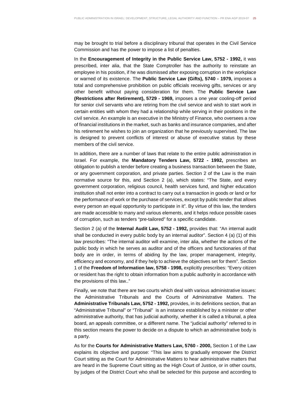may be brought to trial before a disciplinary tribunal that operates in the Civil Service Commission and has the power to impose a list of penalties.

In the **Encouragement of Integrity in the Public Service Law, 5752 - 1992,** it was prescribed, inter alia, that the State Comptroller has the authority to reinstate an employee in his position, if he was dismissed after exposing corruption in the workplace or warned of its existence. The **Public Service Law (Gifts), 5740 - 1979,** imposes a total and comprehensive prohibition on public officials receiving gifts, services or any other benefit without paying consideration for them. The **Public Service Law (Restrictions after Retirement), 5729 - 1969,** imposes a one year cooling-off period for senior civil servants who are retiring from the civil service and wish to start work in certain entities with whom they had a relationship while serving in their positions in the civil service. An example is an executive in the Ministry of Finance, who oversees a row of financial institutions in the market, such as banks and insurance companies, and after his retirement he wishes to join an organization that he previously supervised. The law is designed to prevent conflicts of interest or abuse of executive status by these members of the civil service.

In addition, there are a number of laws that relate to the entire public administration in Israel. For example, the **Mandatory Tenders Law, 5722 - 1992,** prescribes an obligation to publish a tender before creating a business transaction between the State, or any government corporation, and private parties. Section 2 of the Law is the main normative source for this, and Section 2 (a), which states: "The State, and every government corporation, religious council, health services fund, and higher education institution shall not enter into a contract to carry out a transaction in goods or land or for the performance of work or the purchase of services, except by public tender that allows every person an equal opportunity to participate in it". By virtue of this law, the tenders are made accessible to many and various elements, and it helps reduce possible cases of corruption, such as tenders "pre-tailored" for a specific candidate.

Section 2 (a) of the **Internal Audit Law, 5752 - 1992,** provides that: "An internal audit shall be conducted in every public body by an internal auditor". Section 4 (a) (1) of this law prescribes: "The internal auditor will examine, inter alia, whether the actions of the public body in which he serves as auditor and of the officers and functionaries of that body are in order, in terms of abiding by the law, proper management, integrity, efficiency and economy, and if they help to achieve the objectives set for them". Section 1 of the **Freedom of Information law, 5758 - 1998,** explicitly prescribes: "Every citizen or resident has the right to obtain information from a public authority in accordance with the provisions of this law.."

Finally, we note that there are two courts which deal with various administrative issues: the Administrative Tribunals and the Courts of Administrative Matters. The **Administrative Tribunals Law, 5752 - 1992,** provides, in its definitions section, that an "Administrative Tribunal" or "Tribunal" is an instance established by a minister or other administrative authority, that has judicial authority, whether it is called a tribunal, a plea board, an appeals committee, or a different name. The "judicial authority" referred to in this section means the power to decide on a dispute to which an administrative body is a party.

As for the **Courts for Administrative Matters Law, 5760 - 2000,** Section 1 of the Law explains its objective and purpose: "This law aims to gradually empower the District Court sitting as the Court for Administrative Matters to hear administrative matters that are heard in the Supreme Court sitting as the High Court of Justice, or in other courts, by judges of the District Court who shall be selected for this purpose and according to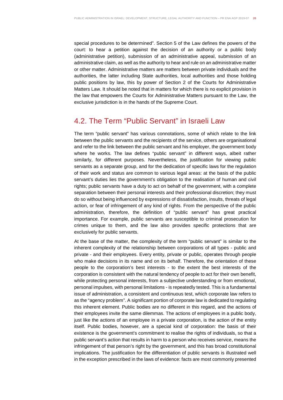special procedures to be determined". Section 5 of the Law defines the powers of the court: to hear a petition against the decision of an authority or a public body (administrative petition), submission of an administrative appeal, submission of an administrative claim, as well as the authority to hear and rule on an administrative matter or other matter. Administrative matters are matters between private individuals and the authorities, the latter including State authorities, local authorities and those holding public positions by law, this by power of Section 2 of the Courts for Administrative Matters Law. It should be noted that in matters for which there is no explicit provision in the law that empowers the Courts for Administrative Matters pursuant to the Law, the exclusive jurisdiction is in the hands of the Supreme Court.

#### 4.2. The Term "Public Servant" in Israeli Law

The term "public servant" has various connotations, some of which relate to the link between the public servants and the recipients of the service, others are organisational and refer to the link between the public servant and his employer, the government body where he works. The law defines "public servant" in different ways, albeit rather similarly, for different purposes. Nevertheless, the justification for viewing public servants as a separate group, and for the dedication of specific laws for the regulation of their work and status are common to various legal areas: at the basis of the public servant's duties lies the government's obligation to the realisation of human and civil rights; public servants have a duty to act on behalf of the government, with a complete separation between their personal interests and their professional discretion; they must do so without being influenced by expressions of dissatisfaction, insults, threats of legal action, or fear of infringement of any kind of rights. From the perspective of the public administration, therefore, the definition of "public servant" has great practical importance. For example, public servants are susceptible to criminal prosecution for crimes unique to them, and the law also provides specific protections that are exclusively for public servants.

At the base of the matter, the complexity of the term "public servant" is similar to the inherent complexity of the relationship between corporations of all types - public and private - and their employees. Every entity, private or public, operates through people who make decisions in its name and on its behalf. Therefore, the orientation of these people to the corporation's best interests - to the extent the best interests of the corporation is consistent with the natural tendency of people to act for their own benefit, while protecting personal interests, from a subjective understanding or from emotional, personal impulses, with personal limitations - is repeatedly tested. This is a fundamental issue of administration, a consistent and continuous test, which corporate law refers to as the "agency problem". A significant portion of corporate law is dedicated to regulating this inherent element. Public bodies are no different in this regard, and the actions of their employees invite the same dilemmas. The actions of employees in a public body, just like the actions of an employee in a private corporation, is the action of the entity itself. Public bodies, however, are a special kind of corporation: the basis of their existence is the government's commitment to realise the rights of individuals, so that a public servant's action that results in harm to a person who receives service, means the infringement of that person's right by the government, and this has broad constitutional implications. The justification for the differentiation of public servants is illustrated well in the exception prescribed in the laws of evidence: facts are most commonly presented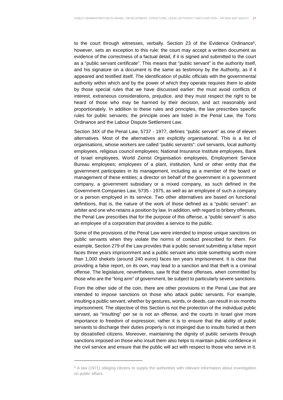to the court through witnesses, verbally. Section 23 of the Evidence Ordinance<sup>6</sup>, however, sets an exception to this rule: the court may accept a written document as evidence of the correctness of a factual detail, if it is signed and submitted to the court as a "public servant certificate". This means that "public servant" is the authority itself, and his signature on a document is the same as testimony by the Authority, as if it appeared and testified itself. The identification of public officials with the governmental authority within which and by the power of which they operate requires them to abide by those special rules that we have discussed earlier: the must avoid conflicts of interest, extraneous considerations, prejudice, and they must respect the right to be heard of those who may be harmed by their decision, and act reasonably and proportionately. In addition to these rules and principles, the law prescribes specific rules for public servants; the principle ones are listed in the Penal Law, the Torts Ordinance and the Labour Dispute Settlement Law.

Section 34X of the Penal Law, 5737 - 1977, defines "public servant" as one of eleven alternatives. Most of the alternatives are explicitly organisational. This is a list of organisations, whose workers are called "public servants": civil servants, local authority employees, religious council employees; National Insurance Institute employees, Bank of Israel employees, World Zionist Organisation employees, Employment Service Bureau employees; employees of a plant, institution, fund or other entity that the government participates in its management, including as a member of the board or management of these entities; a director on behalf of the government in a government company, a government subsidiary or a mixed company, as such defined in the Government Companies Law, 5735 - 1975, as well as an employee of such a company or a person employed in its service. Two other alternatives are based on functional definitions, that is, the nature of the work of those defined as a "public servant": an arbiter and one who retains a position by law. In addition, with regard to bribery offenses, the Penal Law prescribes that for the purpose of this offense, a "public servant" is also an employee of a corporation that provides a service to the public.

Some of the provisions of the Penal Law were intended to impose unique sanctions on public servants when they violate the norms of conduct prescribed for them. For example, Section 279 of the Law provides that a public servant submitting a false report faces three years imprisonment and a public servant who stole something worth more than 1,000 shekels (around 240 euros) faces ten years imprisonment. It is clear that providing a false report, on its own, may lead to a sanction and that theft is a criminal offense. The legislature, nevertheless, saw fit that these offenses, when committed by those who are the "long arm" of government, be subject to particularly severe sanctions.

From the other side of the coin, there are other provisions in the Penal Law that are intended to impose sanctions on those who attack public servants. For example, insulting a public servant, whether by gestures, words, or deeds, can result in six months imprisonment. The objective of this Section is not the protection of the individual public servant, as "insulting" per se is not an offense, and the courts in Israel give more importance to freedom of expression; rather it is to ensure that the ability of public servants to discharge their duties properly is not impinged due to insults hurled at them by dissatisfied citizens. Moreover, maintaining the dignity of public servants through sanctions imposed on those who insult them also helps to maintain public confidence in the civil service and ensure that the public will act with respect to those who serve in it.

l

<sup>&</sup>lt;sup>6</sup> A law (1971) obliging citizens to supply the authorities with relevant information about investigation on public affairs.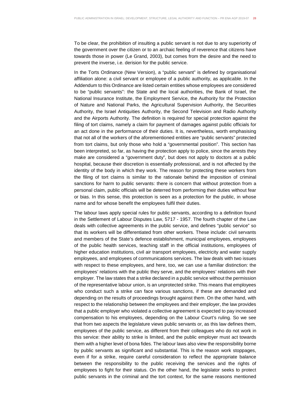To be clear, the prohibition of insulting a public servant is not due to any superiority of the government over the citizen or to an archaic feeling of reverence that citizens have towards those in power (Le Grand, 2003), but comes from the desire and the need to prevent the inverse, i.e. derision for the public service.

In the Torts Ordinance (New Version), a "public servant" is defined by organisational affiliation alone: a civil servant or employee of a public authority, as applicable. In the Addendum to this Ordinance are listed certain entities whose employees are considered to be "public servants": the State and the local authorities, the Bank of Israel, the National Insurance Institute, the Employment Service, the Authority for the Protection of Nature and National Parks, the Agricultural Supervision Authority, the Securities Authority, the Israel Antiquities Authority, the Second Television and Radio Authority and the Airports Authority. The definition is required for special protection against the filing of tort claims, namely a claim for payment of damages against public officials for an act done in the performance of their duties. It is, nevertheless, worth emphasising that not all of the workers of the aforementioned entities are "public servants" protected from tort claims, but only those who hold a "governmental position". This section has been interpreted, so far, as having the protection apply to police, since the arrests they make are considered a "government duty", but does not apply to doctors at a public hospital, because their discretion is essentially professional, and is not affected by the identity of the body in which they work. The reason for protecting these workers from the filing of tort claims is similar to the rationale behind the imposition of criminal sanctions for harm to public servants: there is concern that without protection from a personal claim, public officials will be deterred from performing their duties without fear or bias. In this sense, this protection is seen as a protection for the public, in whose name and for whose benefit the employees fulfil their duties.

The labour laws apply special rules for public servants, according to a definition found in the Settlement of Labour Disputes Law, 5717 - 1957. The fourth chapter of the Law deals with collective agreements in the public service, and defines "public service" so that its workers will be differentiated from other workers. These include: civil servants and members of the State's defence establishment, municipal employees, employees of the public health services, teaching staff in the official institutions, employees of higher education institutions, civil air transport employees, electricity and water supply employees, and employees of communications services. The law deals with two issues with respect to these employees, and here, too, we can use a familiar distinction: the employees' relations with the public they serve, and the employees' relations with their employer. The law states that a strike declared in a public service without the permission of the representative labour union, is an unprotected strike. This means that employees who conduct such a strike can face various sanctions, if these are demanded and depending on the results of proceedings brought against them. On the other hand, with respect to the relationship between the employees and their employer, the law provides that a public employer who violated a collective agreement is expected to pay increased compensation to his employees, depending on the Labour Court's ruling. So we see that from two aspects the legislature views public servants or, as this law defines them, employees of the public service, as different from their colleagues who do not work in this service: their ability to strike is limited, and the public employer must act towards them with a higher level of bona fides. The labour laws also view the responsibility borne by public servants as significant and substantial. This is the reason work stoppages, even if for a strike, require careful consideration to reflect the appropriate balance between the responsibility to the public receiving the services and the rights of employees to fight for their status. On the other hand, the legislator seeks to protect public servants in the criminal and the tort context, for the same reasons mentioned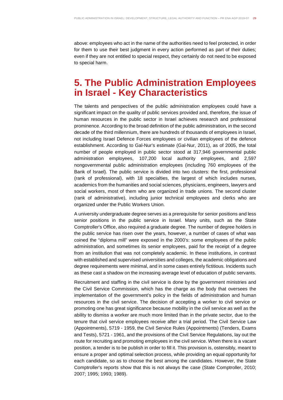above: employees who act in the name of the authorities need to feel protected, in order for them to use their best judgment in every action performed as part of their duties; even if they are not entitled to special respect, they certainly do not need to be exposed to special harm.

## **5. The Public Administration Employees in Israel - Key Characteristics**

The talents and perspectives of the public administration employees could have a significant impact on the quality of public services provided and, therefore, the issue of human resources in the public sector in Israel achieves research and professional prominence. According to the broad definition of the public administration, in the second decade of the third millennium, there are hundreds of thousands of employees in Israel, not including Israel Defence Forces employees or civilian employees of the defence establishment. According to Gal-Nur's estimate (Gal-Nur, 2011), as of 2005, the total number of people employed in public sector stood at 317,946 governmental public administration employees, 107,200 local authority employees, and 2,597 nongovernmental public administration employees (including 760 employees of the Bank of Israel). The public service is divided into two clusters: the first, professional (rank of professional), with 18 specialties, the largest of which includes nurses, academics from the humanities and social sciences, physicians, engineers, lawyers and social workers, most of them who are organized in trade unions. The second cluster (rank of administrative), including junior technical employees and clerks who are organized under the Public Workers Union.

A university undergraduate degree serves as a prerequisite for senior positions and less senior positions in the public service in Israel. Many units, such as the State Comptroller's Office, also required a graduate degree. The number of degree holders in the public service has risen over the years, however, a number of cases of what was coined the "diploma mill" were exposed in the 2000's: some employees of the public administration, and sometimes its senior employees, paid for the receipt of a degree from an institution that was not completely academic. In these institutions, in contrast with established and supervised universities and colleges, the academic obligations and degree requirements were minimal, and in some cases entirely fictitious. Incidents such as these cast a shadow on the increasing average level of education of public servants.

Recruitment and staffing in the civil service is done by the government ministries and the Civil Service Commission, which has the charge as the body that oversees the implementation of the government's policy in the fields of administration and human resources in the civil service. The decision of accepting a worker to civil service or promoting one has great significance because mobility in the civil service as well as the ability to dismiss a worker are much more limited than in the private sector, due to the tenure that civil service employees receive after a trial period. The Civil Service Law (Appointments), 5719 - 1959, the Civil Service Rules (Appointments) (Tenders, Exams and Tests), 5721 - 1961, and the provisions of the Civil Service Regulations, lay out the route for recruiting and promoting employees in the civil service. When there is a vacant position, a tender is to be publish in order to fill it. This provision is, ostensibly, meant to ensure a proper and optimal selection process, while providing an equal opportunity for each candidate, so as to choose the best among the candidates. However, the State Comptroller's reports show that this is not always the case (State Comptroller, 2010; 2007; 1995; 1993; 1989).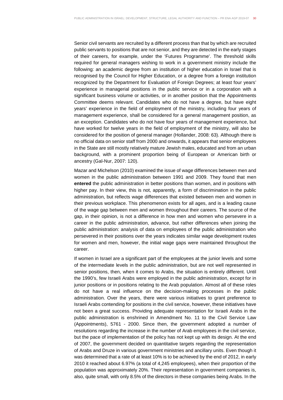Senior civil servants are recruited by a different process than that by which are recruited public servants to positions that are not senior, and they are detected in the early stages of their careers, for example, under the 'Futures Programme'. The threshold skills required for general managers wishing to work in a government ministry include the following: an academic degree from an institution of higher education in Israel that is recognised by the Council for Higher Education, or a degree from a foreign institution recognized by the Department for Evaluation of Foreign Degrees; at least four years' experience in managerial positions in the public service or in a corporation with a significant business volume or activities, or in another position that the Appointments Committee deems relevant. Candidates who do not have a degree, but have eight years' experience in the field of employment of the ministry, including four years of management experience, shall be considered for a general management position, as an exception. Candidates who do not have four years of management experience, but have worked for twelve years in the field of employment of the ministry, will also be considered for the position of general manager (Hollander, 2008: 63). Although there is no official data on senior staff from 2000 and onwards, it appears that senior employees in the State are still mostly relatively mature Jewish males, educated and from an urban background, with a prominent proportion being of European or American birth or ancestry (Gal-Nur, 2007: 120).

Mazar and Michelson (2010) examined the issue of wage differences between men and women in the public administration between 1991 and 2009. They found that men **entered** the public administration in better positions than women, and in positions with higher pay. In their view, this is not, apparently, a form of discrimination in the public administration, but reflects wage differences that existed between men and women in their previous workplace. This phenomenon exists for all ages, and is a leading cause of the wage gap between men and women throughout their careers. The source of the gap, in their opinion, is not a difference in how men and women who persevere in a career in the public administration, advance, but rather differences when joining the public administration: analysis of data on employees of the public administration who persevered in their positions over the years indicates similar wage development routes for women and men, however, the initial wage gaps were maintained throughout the career.

If women in Israel are a significant part of the employees at the junior levels and some of the intermediate levels in the public administration, but are not well represented in senior positions, then, when it comes to Arabs, the situation is entirely different. Until the 1990's, few Israeli Arabs were employed in the public administration, except for in junior positions or in positions relating to the Arab population. Almost all of these roles do not have a real influence on the decision-making processes in the public administration. Over the years, there were various initiatives to grant preference to Israeli Arabs contending for positions in the civil service, however, these initiatives have not been a great success. Providing adequate representation for Israeli Arabs in the public administration is enshrined in Amendment No. 11 to the Civil Service Law (Appointments), 5761 - 2000. Since then, the government adopted a number of resolutions regarding the increase in the number of Arab employees in the civil service, but the pace of implementation of the policy has not kept up with its design. At the end of 2007, the government decided on quantitative targets regarding the representation of Arabs and Druze in various government ministries and ancillary units. Even though it was determined that a rate of at least 10% is to be achieved by the end of 2012, in early 2010 it reached about 6.97% (a total of 4,245 employees), when their proportion of the population was approximately 20%. Their representation in government companies is, also, quite small, with only 8.5% of the directors in these companies being Arabs. In the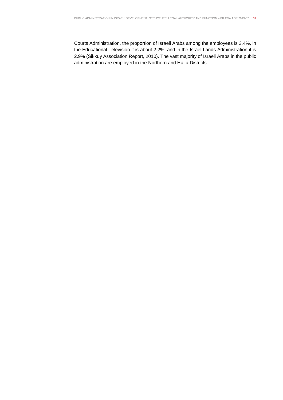Courts Administration, the proportion of Israeli Arabs among the employees is 3.4%, in the Educational Television it is about 2.2%, and in the Israel Lands Administration it is 2.9% (Sikkuy Association Report, 2010). The vast majority of Israeli Arabs in the public administration are employed in the Northern and Haifa Districts.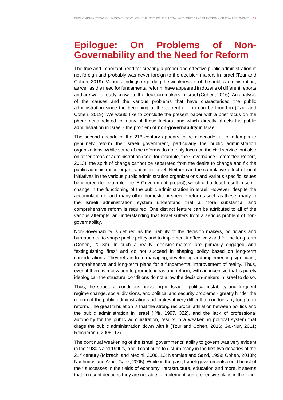## **Epilogue: On Problems of Non-Governability and the Need for Reform**

The true and important need for creating a proper and effective public administration is not foreign and probably was never foreign to the decision-makers in Israel (Tzur and Cohen, 2019). Various findings regarding the weaknesses of the public administration, as well as the need for fundamental reform, have appeared in dozens of different reports and are well already known to the decision-makers in Israel (Cohen, 2016). An analysis of the causes and the various problems that have characterised the public administration since the beginning of the current reform can be found in (Tzur and Cohen, 2019). We would like to conclude the present paper with a brief focus on the phenomena related to many of these factors, and which directly affects the public administration in Israel - the problem of **non-governability** in Israel.

The second decade of the  $21^{st}$  century appears to be a decade full of attempts to genuinely reform the Israeli government, particularly the public administration organizations. While some of the reforms do not only focus on the civil service, but also on other areas of administration (see, for example, the Governance Committee Report, 2013), the spirit of change cannot be separated from the desire to change and fix the public administration organizations in Israel. Neither can the cumulative effect of local initiatives in the various public administration organizations and various specific issues be ignored (for example, the 'E-Government' project), which did at least result in some change in the functioning of the public administration in Israel. However, despite the accumulation of and many other domestic or specific reforms such as these, many in the Israeli administration system understand that a more substantial and comprehensive reform is required. One distinct feature can be attributed to all of the various attempts, an understanding that Israel suffers from a serious problem of nongovernability.

Non-Governability is defined as the inability of the decision makers, politicians and bureaucrats, to shape public policy and to implement it effectively and for the long-term (Cohen, 2013b). In such a reality, decision-makers are primarily engaged with "extinguishing fires" and do not succeed in shaping policy based on long-term considerations. They refrain from managing, developing and implementing significant, comprehensive and long-term plans for a fundamental improvement of reality. Thus, even if there is motivation to promote ideas and reform, with an incentive that is purely ideological, the structural conditions do not allow the decision-makers in Israel to do so.

Thus, the structural conditions prevailing in Israel - political instability and frequent regime change, social divisions, and political and security problems - greatly hinder the reform of the public administration and makes it very difficult to conduct any long term reform. The great tribulation is that the strong reciprocal affiliation between politics and the public administration in Israel (Kfir, 1997, 322), and the lack of professional autonomy for the public administration, results in a weakening political system that drags the public administration down with it (Tzur and Cohen, 2016; Gal-Nur, 2011; Reichmann, 2006, 12).

The continual weakening of the Israeli governments' ability to govern was very evident in the 1980's and 1990's, and it continues to disturb many in the first two decades of the 21st century (Mizrachi and Medini, 2006, 13; Nahmias and Sand, 1999; Cohen, 2013b; Nachmias and Arbel-Ganz, 2005). While in the past, Israeli governments could boast of their successes in the fields of economy, infrastructure, education and more, it seems that in recent decades they are not able to implement comprehensive plans in the long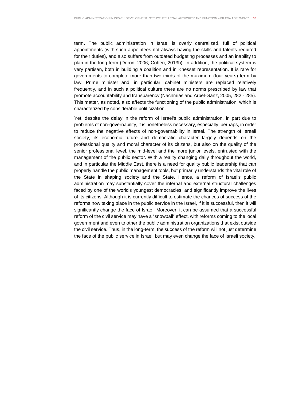term. The public administration in Israel is overly centralized, full of political appointments (with such appointees not always having the skills and talents required for their duties), and also suffers from outdated budgeting processes and an inability to plan in the long-term (Doron, 2006; Cohen, 2013b). In addition, the political system is very partisan, both in building a coalition and in Knesset representation. It is rare for governments to complete more than two thirds of the maximum (four years) term by law. Prime minister and, in particular, cabinet ministers are replaced relatively frequently, and in such a political culture there are no norms prescribed by law that promote accountability and transparency (Nachmias and Arbel-Ganz, 2005, 282 - 285). This matter, as noted, also affects the functioning of the public administration, which is characterized by considerable politicization.

Yet, despite the delay in the reform of Israel's public administration, in part due to problems of non-governability, it is nonetheless necessary, especially, perhaps, in order to reduce the negative effects of non-governability in Israel. The strength of Israeli society, its economic future and democratic character largely depends on the professional quality and moral character of its citizens, but also on the quality of the senior professional level, the mid-level and the more junior levels, entrusted with the management of the public sector. With a reality changing daily throughout the world, and in particular the Middle East, there is a need for quality public leadership that can properly handle the public management tools, but primarily understands the vital role of the State in shaping society and the State. Hence, a reform of Israel's public administration may substantially cover the internal and external structural challenges faced by one of the world's youngest democracies, and significantly improve the lives of its citizens. Although it is currently difficult to estimate the chances of success of the reforms now taking place in the public service in the Israel, if it is successful, then it will significantly change the face of Israel. Moreover, it can be assumed that a successful reform of the civil service may have a "snowball" effect, with reforms coming to the local government and even to other the public administration organizations that exist outside the civil service. Thus, in the long-term, the success of the reform will not just determine the face of the public service in Israel, but may even change the face of Israeli society.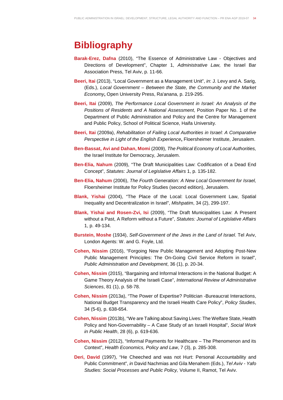## **Bibliography**

- **Barak-Erez, Dafna** (2010), "The Essence of Administrative Law Objectives and Directions of Development", Chapter 1, Administrative Law, the Israel Bar Association Press, Tel Aviv, p. 11-66.
- **Beeri, Itai** (2013), "Local Government as a Management Unit", in: J. Levy and A. Sarig, (Eds.), Local Government – Between the State, the Community and the Market Economy**,** Open University Press, Ra'anana, p. 219-295.
- **Beeri, Itai** (2009), The Performance Local Government in Israel: An Analysis of the Positions of Residents and A National Assessment, Position Paper No. 1 of the Department of Public Administration and Policy and the Centre for Management and Public Policy, School of Political Science, Haifa University.
- **Beeri, Itai** (2009a), Rehabilitation of Failing Local Authorities in Israel: A Comparative Perspective in Light of the English Experience**,** Floersheimer Institute, Jerusalem.
- **Ben-Bassat, Avi and Dahan, Momi** (2009), The Political Economy of Local Authorities, the Israel Institute for Democracy, Jerusalem.
- **Ben-Elia, Nahum** (2009), "The Draft Municipalities Law: Codification of a Dead End Concept", Statutes: Journal of Legislative Affairs 1, p. 135-182.
- **Ben-Elia, Nahum** (2006), The Fourth Generation: A New Local Government for Israel, Floersheimer Institute for Policy Studies (second edition), Jerusalem.
- **Blank, Yishai** (2004), "The Place of the Local: Local Government Law, Spatial Inequality and Decentralization in Israel", Mishpatim, 34 (2), 299-197.
- **Blank, Yishai and Rosen-Zvi, Isi** (2009), "The Draft Municipalities Law: A Present without a Past, A Reform without a Future", Statutes: Journal of Legislative Affairs 1, p. 49-134.
- **Burstein, Moshe** (1934), Self-Government of the Jews in the Land of Israel. Tel Aviv, London Agents: W. and G. Foyle, Ltd.
- **Cohen, Nissim** (2016), "Forgoing New Public Management and Adopting Post-New Public Management Principles: The On-Going Civil Service Reform in Israel", Public Administration and Development, 36 (1), p. 20-34.
- **Cohen, Nissim** (2015), "Bargaining and Informal Interactions in the National Budget: A Game Theory Analysis of the Israeli Case", International Review of Administrative Sciences, 81 (1), p. 58-78.
- **Cohen, Nissim** (2013a), "The Power of Expertise? Politician -Bureaucrat Interactions, National Budget Transparency and the Israeli Health Care Policy", Policy Studies, 34 (5-6), p. 638-654.
- **Cohen, Nissim** (2013b), "We are Talking about Saving Lives: The Welfare State, Health Policy and Non-Governability – A Case Study of an Israeli Hospital", Social Work in Public Health, 28 (6), p. 619-636.
- **Cohen, Nissim** (2012), "Informal Payments for Healthcare The Phenomenon and its Context", Health Economics, Policy and Law, 7 (3), p. 285-308.
- **Deri, David** (1997), "He Cheeched and was not Hurt: Personal Accountability and Public Commitment", in David Nachmias and Gila Menahem (Eds.), Tel Aviv - Yafo Studies: Social Processes and Public Policy, Volume II, Ramot, Tel Aviv.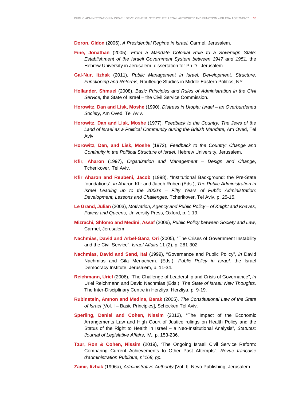**Doron, Gidon** (2006), A Presidential Regime in Israel, Carmel, Jerusalem.

- **Fine, Jonathan** (2005), From a Mandate Colonial Rule to a Sovereign State: Establishment of the Israeli Government System between 1947 and 1951, the Hebrew University in Jerusalem, dissertation for Ph.D., Jerusalem.
- **Gal-Nur, Itzhak** (2011), Public Management in Israel: Development, Structure, Functioning and Reforms, Routledge Studies in Middle Eastern Politics, NY.
- **Hollander, Shmuel** (2008), Basic Principles and Rules of Administration in the Civil Service, the State of Israel – the Civil Service Commission.
- **Horowitz, Dan and Lisk, Moshe** (1990), Distress in Utopia: Israel an Overburdened Society, Am Oved, Tel Aviv.
- **Horowitz, Dan and Lisk, Moshe** (1977), Feedback to the Country: The Jews of the Land of Israel as a Political Community during the British Mandate, Am Oved, Tel Aviv.
- **Horowitz, Dan, and Lisk, Moshe** (1972), Feedback to the Country: Change and Continuity in the Political Structure of Israel, Hebrew University, Jerusalem.
- **Kfir, Aharon** (1997), Organization and Management Design and Change, Tcherikover, Tel Aviv.
- **Kfir Aharon and Reubeni, Jacob** (1998), "Institutional Background: the Pre-State foundations", in Aharon Kfir and Jacob Ruben (Eds.), The Public Administration in Israel Leading up to the 2000's – Fifty Years of Public Administration: Development, Lessons and Challenges, Tcherikover, Tel Aviv, p. 25-15.
- **Le Grand, Julian** (2003), Motivation, Agency and Public Policy of Knight and Knaves, Pawns and Queens, University Press, Oxford, p. 1-19.
- **Mizrachi, Shlomo and Medini, Assaf** (2006), Public Policy between Society and Law, Carmel, Jerusalem.
- **Nachmias, David and Arbel-Ganz, Ori** (2005), "The Crises of Government Instability and the Civil Service", Israel Affairs 11 (2), p. 281-302.
- **Nachmias, David and Sand, Itai** (1999), "Governance and Public Policy", in David Nachmias and Gila Menachem. (Eds.), Public Policy in Israel, the Israel Democracy Institute, Jerusalem, p. 11-34.
- **Reichmann, Uriel** (2006), "The Challenge of Leadership and Crisis of Governance", in Uriel Reichmann and David Nachmias (Eds.), The State of Israel: New Thoughts, The Inter-Disciplinary Centre in Herzliya, Herzliya, p. 9-19.
- **Rubinstein, Amnon and Medina, Barak** (2005), The Constitutional Law of the State of Israel [Vol. I – Basic Principles], Schocken Tel Aviv.
- **Sperling, Daniel and Cohen, Nissim** (2012), "The Impact of the Economic Arrangements Law and High Court of Justice rulings on Health Policy and the Status of the Right to Health in Israel – a Neo-Institutional Analysis", Statutes: Journal of Legislative Affairs, IV., p. 153-236.
- **Tzur, Ron & Cohen, Nissim** (2019), "The Ongoing Israeli Civil Service Reform: Comparing Current Achievements to Other Past Attempts", Revue française d'administration Publique, n°168, pp.
- **Zamir, Itzhak** (1996a), Administrative Authority [Vol. I], Nevo Publishing, Jerusalem.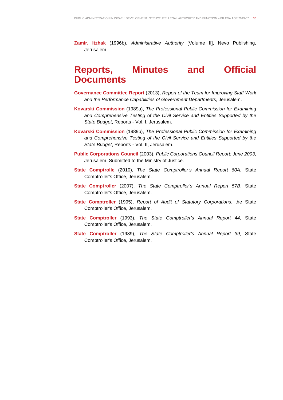**Zamir, Itzhak** (1996b), Administrative Authority [Volume II], Nevo Publishing, Jerusalem.

## **Reports, Minutes and Official Documents**

- **Governance Committee Report** (2013), Report of the Team for Improving Staff Work and the Performance Capabilities of Government Departments, Jerusalem.
- **Kovarski Commission** (1989a), The Professional Public Commission for Examining and Comprehensive Testing of the Civil Service and Entities Supported by the State Budget, Reports - Vol. I, Jerusalem.
- **Kovarski Commission** (1989b), The Professional Public Commission for Examining and Comprehensive Testing of the Civil Service and Entities Supported by the State Budget, Reports - Vol. II, Jerusalem.
- **Public Corporations Council** (2003), Public Corporations Council Report: June 2003, Jerusalem. Submitted to the Ministry of Justice.
- **State Comptrolle** (2010), The State Comptroller's Annual Report 60A, State Comptroller's Office, Jerusalem.
- **State Comptroller** (2007), The State Comptroller's Annual Report 57B, State Comptroller's Office, Jerusalem.
- **State Comptroller** (1995), Report of Audit of Statutory Corporations, the State Comptroller's Office, Jerusalem.
- **State Comptroller** (1993), The State Comptroller's Annual Report 44, State Comptroller's Office, Jerusalem.
- **State Comptroller** (1989), The State Comptroller's Annual Report 39, State Comptroller's Office, Jerusalem.